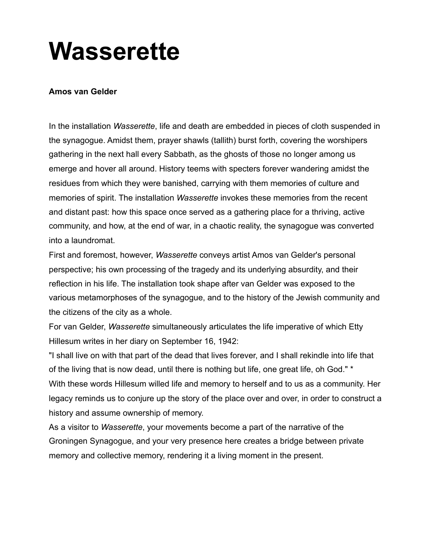## **Wasserette**

## **Amos van Gelder**

In the installation *Wasserette*, life and death are embedded in pieces of cloth suspended in the synagogue. Amidst them, prayer shawls (tallith) burst forth, covering the worshipers gathering in the next hall every Sabbath, as the ghosts of those no longer among us emerge and hover all around. History teems with specters forever wandering amidst the residues from which they were banished, carrying with them memories of culture and memories of spirit. The installation *Wasserette* invokes these memories from the recent and distant past: how this space once served as a gathering place for a thriving, active community, and how, at the end of war, in a chaotic reality, the synagogue was converted into a laundromat.

First and foremost, however, *Wasserette* conveys artist Amos van Gelder's personal perspective; his own processing of the tragedy and its underlying absurdity, and their reflection in his life. The installation took shape after van Gelder was exposed to the various metamorphoses of the synagogue, and to the history of the Jewish community and the citizens of the city as a whole.

For van Gelder, *Wasserette* simultaneously articulates the life imperative of which Etty Hillesum writes in her diary on September 16, 1942:

"I shall live on with that part of the dead that lives forever, and I shall rekindle into life that of the living that is now dead, until there is nothing but life, one great life, oh God." \* With these words Hillesum willed life and memory to herself and to us as a community. Her legacy reminds us to conjure up the story of the place over and over, in order to construct a history and assume ownership of memory.

As a visitor to *Wasserette*, your movements become a part of the narrative of the Groningen Synagogue, and your very presence here creates a bridge between private memory and collective memory, rendering it a living moment in the present.